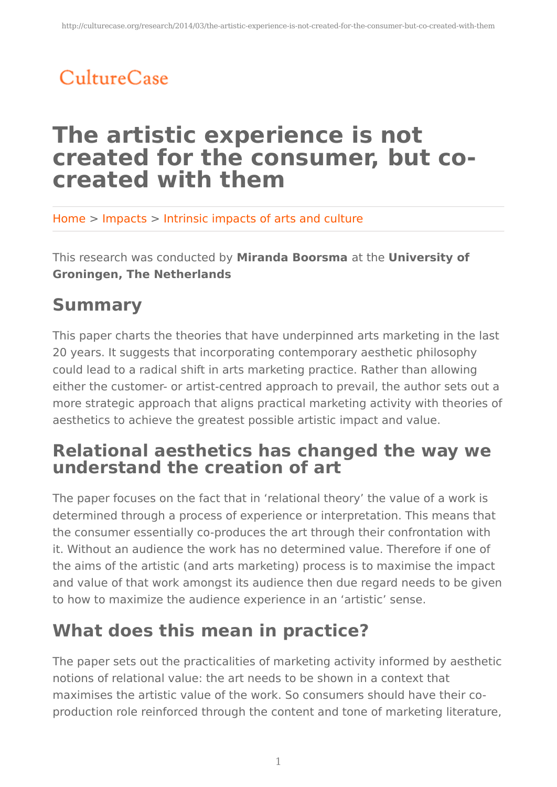# CultureCase

# **The artistic experience is not created for the consumer, but cocreated with them**

Home > Impacts > Intrinsic impacts of arts and culture

This research was conducted by **Miranda Boorsma** at the **University of Groningen, The Netherlands**

## **Summary**

This paper charts the theories that have underpinned arts marketing in the last 20 years. It suggests that incorporating contemporary aesthetic philosophy could lead to a radical shift in arts marketing practice. Rather than allowing either the customer- or artist-centred approach to prevail, the author sets out a more strategic approach that aligns practical marketing activity with theories of aesthetics to achieve the greatest possible artistic impact and value.

### **Relational aesthetics has changed the way we understand the creation of art**

The paper focuses on the fact that in 'relational theory' the value of a work is determined through a process of experience or interpretation. This means that the consumer essentially co-produces the art through their confrontation with it. Without an audience the work has no determined value. Therefore if one of the aims of the artistic (and arts marketing) process is to maximise the impact and value of that work amongst its audience then due regard needs to be given to how to maximize the audience experience in an 'artistic' sense.

## **What does this mean in practice?**

The paper sets out the practicalities of marketing activity informed by aesthetic notions of relational value: the art needs to be shown in a context that maximises the artistic value of the work. So consumers should have their coproduction role reinforced through the content and tone of marketing literature,